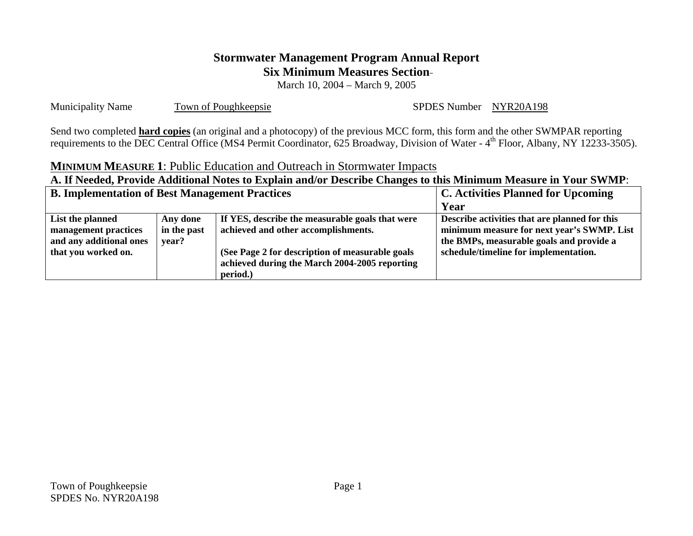# **Stormwater Management Program Annual Report Six Minimum Measures Section**

March 10, 2004 – March 9, 2005

Municipality Name Town of Poughkeepsie SPDES Number NYR20A198

Send two completed **hard copies** (an original and a photocopy) of the previous MCC form, this form and the other SWMPAR reporting requirements to the DEC Central Office (MS4 Permit Coordinator, 625 Broadway, Division of Water - 4<sup>th</sup> Floor, Albany, NY 12233-3505).

#### **MINIMUM MEASURE 1**: Public Education and Outreach in Stormwater Impacts

| <b>B. Implementation of Best Management Practices</b>                                      |                                  | <b>C. Activities Planned for Upcoming</b>                                                                                                  |                                                                                                                                         |  |
|--------------------------------------------------------------------------------------------|----------------------------------|--------------------------------------------------------------------------------------------------------------------------------------------|-----------------------------------------------------------------------------------------------------------------------------------------|--|
|                                                                                            |                                  | Year                                                                                                                                       |                                                                                                                                         |  |
| List the planned<br>management practices<br>and any additional ones<br>that you worked on. | Any done<br>in the past<br>vear? | If YES, describe the measurable goals that were<br>achieved and other accomplishments.<br>(See Page 2 for description of measurable goals) | Describe activities that are planned for this<br>minimum measure for next year's SWMP. List<br>the BMPs, measurable goals and provide a |  |
|                                                                                            |                                  | achieved during the March 2004-2005 reporting<br>period.)                                                                                  | schedule/timeline for implementation.                                                                                                   |  |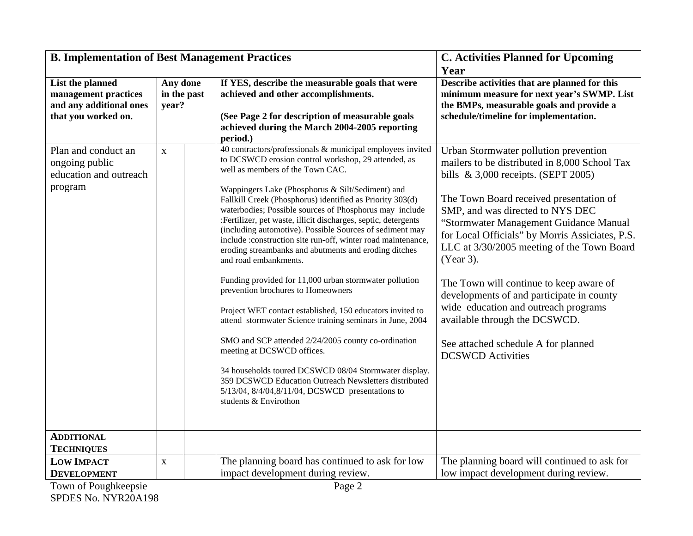| <b>B. Implementation of Best Management Practices</b> |             | <b>C. Activities Planned for Upcoming</b> |                                                                                                                       |                                                 |
|-------------------------------------------------------|-------------|-------------------------------------------|-----------------------------------------------------------------------------------------------------------------------|-------------------------------------------------|
|                                                       |             |                                           |                                                                                                                       | Year                                            |
| List the planned                                      | Any done    |                                           | If YES, describe the measurable goals that were                                                                       | Describe activities that are planned for this   |
| management practices                                  |             | in the past                               | achieved and other accomplishments.                                                                                   | minimum measure for next year's SWMP. List      |
| and any additional ones                               | year?       |                                           |                                                                                                                       | the BMPs, measurable goals and provide a        |
| that you worked on.                                   |             |                                           | (See Page 2 for description of measurable goals                                                                       | schedule/timeline for implementation.           |
|                                                       |             |                                           | achieved during the March 2004-2005 reporting                                                                         |                                                 |
|                                                       |             |                                           | period.)                                                                                                              |                                                 |
| Plan and conduct an                                   | $\mathbf X$ |                                           | 40 contractors/professionals & municipal employees invited                                                            | Urban Stormwater pollution prevention           |
| ongoing public                                        |             |                                           | to DCSWCD erosion control workshop, 29 attended, as<br>well as members of the Town CAC.                               | mailers to be distributed in 8,000 School Tax   |
| education and outreach                                |             |                                           |                                                                                                                       | bills $\&$ 3,000 receipts. (SEPT 2005)          |
| program                                               |             |                                           | Wappingers Lake (Phosphorus & Silt/Sediment) and                                                                      |                                                 |
|                                                       |             |                                           | Fallkill Creek (Phosphorus) identified as Priority 303(d)                                                             | The Town Board received presentation of         |
|                                                       |             |                                           | waterbodies; Possible sources of Phosphorus may include                                                               | SMP, and was directed to NYS DEC                |
|                                                       |             |                                           | :Fertilizer, pet waste, illicit discharges, septic, detergents                                                        | "Stormwater Management Guidance Manual          |
|                                                       |             |                                           | (including automotive). Possible Sources of sediment may                                                              | for Local Officials" by Morris Assiciates, P.S. |
|                                                       |             |                                           | include :construction site run-off, winter road maintenance,<br>eroding streambanks and abutments and eroding ditches | LLC at 3/30/2005 meeting of the Town Board      |
|                                                       |             |                                           | and road embankments.                                                                                                 | (Year 3).                                       |
|                                                       |             |                                           |                                                                                                                       |                                                 |
|                                                       |             |                                           | Funding provided for 11,000 urban stormwater pollution                                                                | The Town will continue to keep aware of         |
|                                                       |             |                                           | prevention brochures to Homeowners                                                                                    | developments of and participate in county       |
|                                                       |             |                                           |                                                                                                                       | wide education and outreach programs            |
|                                                       |             |                                           | Project WET contact established, 150 educators invited to                                                             | available through the DCSWCD.                   |
|                                                       |             |                                           | attend stormwater Science training seminars in June, 2004                                                             |                                                 |
|                                                       |             |                                           | SMO and SCP attended 2/24/2005 county co-ordination                                                                   | See attached schedule A for planned             |
|                                                       |             |                                           | meeting at DCSWCD offices.                                                                                            | <b>DCSWCD</b> Activities                        |
|                                                       |             |                                           | 34 households toured DCSWCD 08/04 Stormwater display.                                                                 |                                                 |
|                                                       |             |                                           | 359 DCSWCD Education Outreach Newsletters distributed                                                                 |                                                 |
|                                                       |             |                                           | 5/13/04, 8/4/04, 8/11/04, DCSWCD presentations to                                                                     |                                                 |
|                                                       |             |                                           | students & Envirothon                                                                                                 |                                                 |
|                                                       |             |                                           |                                                                                                                       |                                                 |
|                                                       |             |                                           |                                                                                                                       |                                                 |
| <b>ADDITIONAL</b>                                     |             |                                           |                                                                                                                       |                                                 |
| <b>TECHNIQUES</b>                                     |             |                                           |                                                                                                                       |                                                 |
| <b>LOW IMPACT</b>                                     | $\mathbf X$ |                                           | The planning board has continued to ask for low                                                                       | The planning board will continued to ask for    |
| <b>DEVELOPMENT</b>                                    |             |                                           | impact development during review.                                                                                     | low impact development during review.           |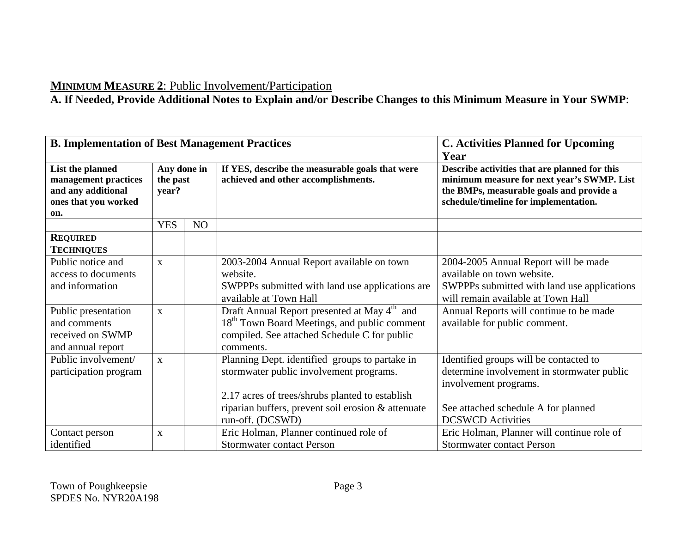# **MINIMUM MEASURE 2**: Public Involvement/Participation

| <b>B. Implementation of Best Management Practices</b>                                         |                                  | <b>C. Activities Planned for Upcoming</b><br>Year |                                                          |                                             |                                                                                        |                                                                                                                                                                                  |
|-----------------------------------------------------------------------------------------------|----------------------------------|---------------------------------------------------|----------------------------------------------------------|---------------------------------------------|----------------------------------------------------------------------------------------|----------------------------------------------------------------------------------------------------------------------------------------------------------------------------------|
| List the planned<br>management practices<br>and any additional<br>ones that you worked<br>on. | Any done in<br>the past<br>year? |                                                   |                                                          |                                             | If YES, describe the measurable goals that were<br>achieved and other accomplishments. | Describe activities that are planned for this<br>minimum measure for next year's SWMP. List<br>the BMPs, measurable goals and provide a<br>schedule/timeline for implementation. |
|                                                                                               | <b>YES</b>                       | NO                                                |                                                          |                                             |                                                                                        |                                                                                                                                                                                  |
| <b>REQUIRED</b>                                                                               |                                  |                                                   |                                                          |                                             |                                                                                        |                                                                                                                                                                                  |
| <b>TECHNIQUES</b>                                                                             |                                  |                                                   |                                                          |                                             |                                                                                        |                                                                                                                                                                                  |
| Public notice and                                                                             | $\mathbf{X}$                     |                                                   | 2003-2004 Annual Report available on town                | 2004-2005 Annual Report will be made        |                                                                                        |                                                                                                                                                                                  |
| access to documents                                                                           |                                  |                                                   | website.                                                 | available on town website.                  |                                                                                        |                                                                                                                                                                                  |
| and information                                                                               |                                  |                                                   | SWPPPs submitted with land use applications are          | SWPPPs submitted with land use applications |                                                                                        |                                                                                                                                                                                  |
|                                                                                               |                                  |                                                   | available at Town Hall                                   | will remain available at Town Hall          |                                                                                        |                                                                                                                                                                                  |
| Public presentation                                                                           | $\mathbf{X}$                     |                                                   | Draft Annual Report presented at May 4 <sup>th</sup> and | Annual Reports will continue to be made     |                                                                                        |                                                                                                                                                                                  |
| and comments                                                                                  |                                  |                                                   | 18 <sup>th</sup> Town Board Meetings, and public comment | available for public comment.               |                                                                                        |                                                                                                                                                                                  |
| received on SWMP                                                                              |                                  |                                                   | compiled. See attached Schedule C for public             |                                             |                                                                                        |                                                                                                                                                                                  |
| and annual report                                                                             |                                  |                                                   | comments.                                                |                                             |                                                                                        |                                                                                                                                                                                  |
| Public involvement/                                                                           | $\mathbf{x}$                     |                                                   | Planning Dept. identified groups to partake in           | Identified groups will be contacted to      |                                                                                        |                                                                                                                                                                                  |
| participation program                                                                         |                                  |                                                   | stormwater public involvement programs.                  | determine involvement in stormwater public  |                                                                                        |                                                                                                                                                                                  |
|                                                                                               |                                  |                                                   |                                                          | involvement programs.                       |                                                                                        |                                                                                                                                                                                  |
|                                                                                               |                                  |                                                   | 2.17 acres of trees/shrubs planted to establish          |                                             |                                                                                        |                                                                                                                                                                                  |
|                                                                                               |                                  |                                                   | riparian buffers, prevent soil erosion & attenuate       | See attached schedule A for planned         |                                                                                        |                                                                                                                                                                                  |
|                                                                                               |                                  |                                                   | run-off. (DCSWD)                                         | <b>DCSWCD</b> Activities                    |                                                                                        |                                                                                                                                                                                  |
| Contact person                                                                                | $\mathbf{X}$                     |                                                   | Eric Holman, Planner continued role of                   | Eric Holman, Planner will continue role of  |                                                                                        |                                                                                                                                                                                  |
| identified                                                                                    |                                  |                                                   | <b>Stormwater contact Person</b>                         | <b>Stormwater contact Person</b>            |                                                                                        |                                                                                                                                                                                  |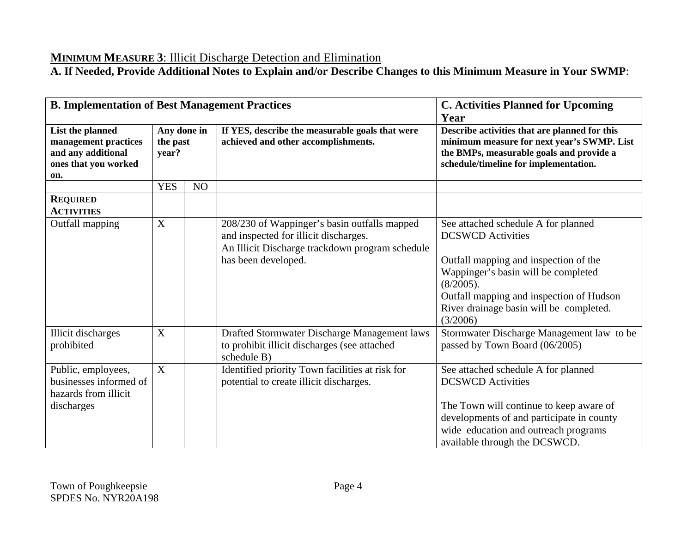# **MINIMUM MEASURE 3**: Illicit Discharge Detection and Elimination

| <b>B. Implementation of Best Management Practices</b>                                         |                                  | <b>C. Activities Planned for Upcoming</b><br>Year |                                                                                                                                                                 |                                                                                                                                                                                                                                                                 |
|-----------------------------------------------------------------------------------------------|----------------------------------|---------------------------------------------------|-----------------------------------------------------------------------------------------------------------------------------------------------------------------|-----------------------------------------------------------------------------------------------------------------------------------------------------------------------------------------------------------------------------------------------------------------|
| List the planned<br>management practices<br>and any additional<br>ones that you worked<br>on. | Any done in<br>the past<br>year? |                                                   | If YES, describe the measurable goals that were<br>achieved and other accomplishments.                                                                          | Describe activities that are planned for this<br>minimum measure for next year's SWMP. List<br>the BMPs, measurable goals and provide a<br>schedule/timeline for implementation.                                                                                |
|                                                                                               | <b>YES</b>                       | NO                                                |                                                                                                                                                                 |                                                                                                                                                                                                                                                                 |
| <b>REQUIRED</b><br><b>ACTIVITIES</b>                                                          |                                  |                                                   |                                                                                                                                                                 |                                                                                                                                                                                                                                                                 |
| Outfall mapping                                                                               | X                                |                                                   | 208/230 of Wappinger's basin outfalls mapped<br>and inspected for illicit discharges.<br>An Illicit Discharge trackdown program schedule<br>has been developed. | See attached schedule A for planned<br><b>DCSWCD</b> Activities<br>Outfall mapping and inspection of the<br>Wappinger's basin will be completed<br>(8/2005).<br>Outfall mapping and inspection of Hudson<br>River drainage basin will be completed.<br>(3/2006) |
| <b>Illicit discharges</b><br>prohibited                                                       | X                                |                                                   | Drafted Stormwater Discharge Management laws<br>to prohibit illicit discharges (see attached<br>schedule B)                                                     | Stormwater Discharge Management law to be<br>passed by Town Board (06/2005)                                                                                                                                                                                     |
| Public, employees,<br>businesses informed of<br>hazards from illicit<br>discharges            | X                                |                                                   | Identified priority Town facilities at risk for<br>potential to create illicit discharges.                                                                      | See attached schedule A for planned<br><b>DCSWCD</b> Activities<br>The Town will continue to keep aware of<br>developments of and participate in county<br>wide education and outreach programs<br>available through the DCSWCD.                                |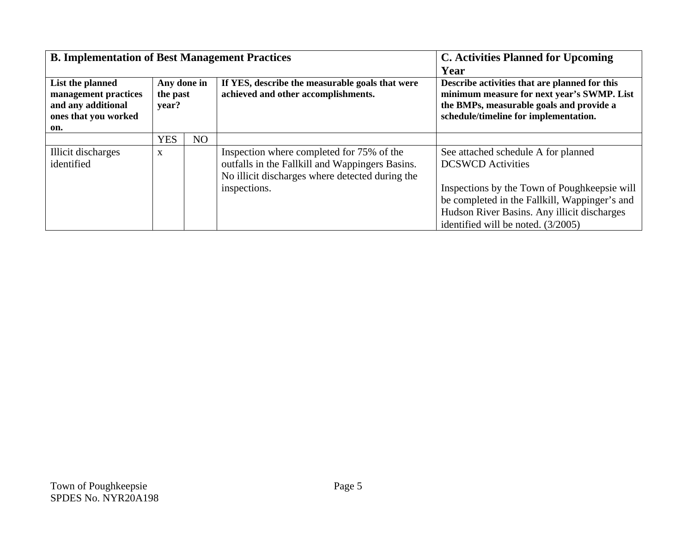| <b>B. Implementation of Best Management Practices</b>                                         |                                  | <b>C.</b> Activities Planned for Upcoming<br>Year |                                                                                                                                                                 |                                                                                                                                                                                                                                                       |
|-----------------------------------------------------------------------------------------------|----------------------------------|---------------------------------------------------|-----------------------------------------------------------------------------------------------------------------------------------------------------------------|-------------------------------------------------------------------------------------------------------------------------------------------------------------------------------------------------------------------------------------------------------|
| List the planned<br>management practices<br>and any additional<br>ones that you worked<br>on. | Any done in<br>the past<br>year? |                                                   | If YES, describe the measurable goals that were<br>achieved and other accomplishments.                                                                          | Describe activities that are planned for this<br>minimum measure for next year's SWMP. List<br>the BMPs, measurable goals and provide a<br>schedule/timeline for implementation.                                                                      |
|                                                                                               | <b>YES</b>                       | NO                                                |                                                                                                                                                                 |                                                                                                                                                                                                                                                       |
| Illicit discharges<br>identified                                                              | X                                |                                                   | Inspection where completed for 75% of the<br>outfalls in the Fallkill and Wappingers Basins.<br>No illicit discharges where detected during the<br>inspections. | See attached schedule A for planned<br><b>DCSWCD</b> Activities<br>Inspections by the Town of Poughkeepsie will<br>be completed in the Fallkill, Wappinger's and<br>Hudson River Basins. Any illicit discharges<br>identified will be noted. (3/2005) |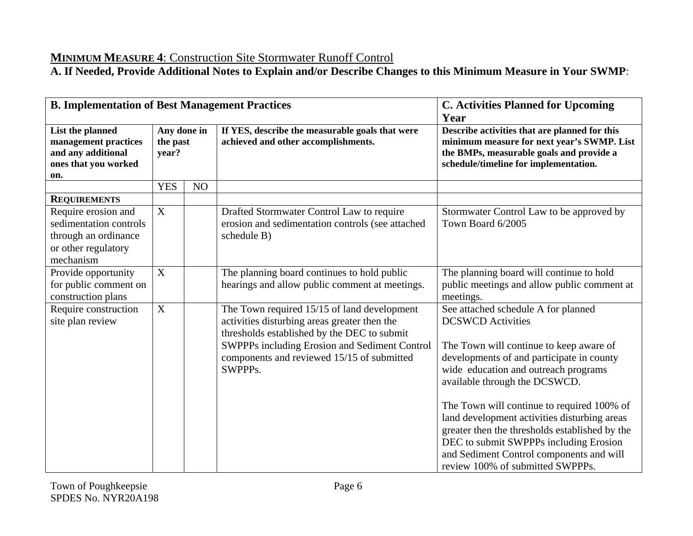**MINIMUM MEASURE 4**: Construction Site Stormwater Runoff Control **A. If Needed, Provide Additional Notes to Explain and/or Describe Changes to this Minimum Measure in Your SWMP**:

| <b>B. Implementation of Best Management Practices</b>                                                     |                                  | <b>C. Activities Planned for Upcoming</b><br>Year |                                                                                                                                                                                                                                                      |                                                                                                                                                                                                                                                                                                                                                                                                                                                                                                            |
|-----------------------------------------------------------------------------------------------------------|----------------------------------|---------------------------------------------------|------------------------------------------------------------------------------------------------------------------------------------------------------------------------------------------------------------------------------------------------------|------------------------------------------------------------------------------------------------------------------------------------------------------------------------------------------------------------------------------------------------------------------------------------------------------------------------------------------------------------------------------------------------------------------------------------------------------------------------------------------------------------|
| List the planned<br>management practices<br>and any additional<br>ones that you worked<br>on.             | Any done in<br>the past<br>year? |                                                   | If YES, describe the measurable goals that were<br>achieved and other accomplishments.                                                                                                                                                               | Describe activities that are planned for this<br>minimum measure for next year's SWMP. List<br>the BMPs, measurable goals and provide a<br>schedule/timeline for implementation.                                                                                                                                                                                                                                                                                                                           |
|                                                                                                           | <b>YES</b>                       | NO                                                |                                                                                                                                                                                                                                                      |                                                                                                                                                                                                                                                                                                                                                                                                                                                                                                            |
| <b>REQUIREMENTS</b>                                                                                       |                                  |                                                   |                                                                                                                                                                                                                                                      |                                                                                                                                                                                                                                                                                                                                                                                                                                                                                                            |
| Require erosion and<br>sedimentation controls<br>through an ordinance<br>or other regulatory<br>mechanism | X                                |                                                   | Drafted Stormwater Control Law to require<br>erosion and sedimentation controls (see attached<br>schedule B)                                                                                                                                         | Stormwater Control Law to be approved by<br>Town Board 6/2005                                                                                                                                                                                                                                                                                                                                                                                                                                              |
| Provide opportunity<br>for public comment on<br>construction plans                                        | $\boldsymbol{\mathrm{X}}$        |                                                   | The planning board continues to hold public<br>hearings and allow public comment at meetings.                                                                                                                                                        | The planning board will continue to hold<br>public meetings and allow public comment at<br>meetings.                                                                                                                                                                                                                                                                                                                                                                                                       |
| Require construction<br>site plan review                                                                  | $\mathbf X$                      |                                                   | The Town required 15/15 of land development<br>activities disturbing areas greater then the<br>thresholds established by the DEC to submit<br>SWPPPs including Erosion and Sediment Control<br>components and reviewed 15/15 of submitted<br>SWPPPs. | See attached schedule A for planned<br><b>DCSWCD</b> Activities<br>The Town will continue to keep aware of<br>developments of and participate in county<br>wide education and outreach programs<br>available through the DCSWCD.<br>The Town will continue to required 100% of<br>land development activities disturbing areas<br>greater then the thresholds established by the<br>DEC to submit SWPPPs including Erosion<br>and Sediment Control components and will<br>review 100% of submitted SWPPPs. |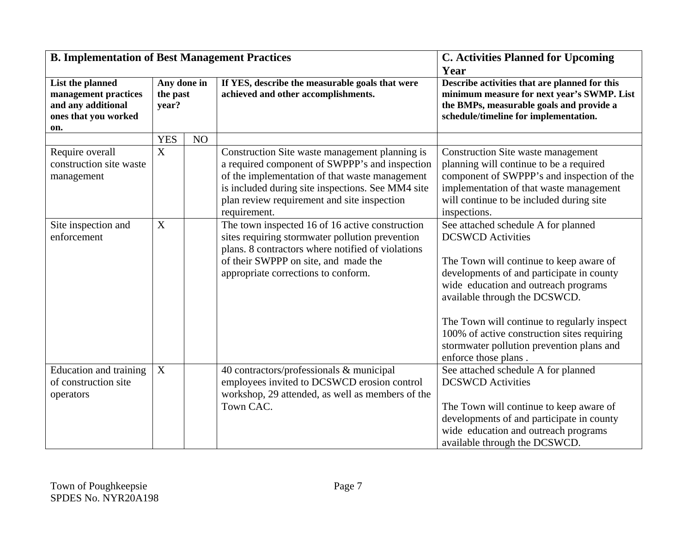| <b>B. Implementation of Best Management Practices</b>                                         |                                  | <b>C. Activities Planned for Upcoming</b><br>Year |                                                                                                                                                                                                                                                                        |                                                                                                                                                                                                                                                                                                                                                                                                     |
|-----------------------------------------------------------------------------------------------|----------------------------------|---------------------------------------------------|------------------------------------------------------------------------------------------------------------------------------------------------------------------------------------------------------------------------------------------------------------------------|-----------------------------------------------------------------------------------------------------------------------------------------------------------------------------------------------------------------------------------------------------------------------------------------------------------------------------------------------------------------------------------------------------|
| List the planned<br>management practices<br>and any additional<br>ones that you worked<br>on. | Any done in<br>the past<br>year? |                                                   | If YES, describe the measurable goals that were<br>achieved and other accomplishments.                                                                                                                                                                                 | Describe activities that are planned for this<br>minimum measure for next year's SWMP. List<br>the BMPs, measurable goals and provide a<br>schedule/timeline for implementation.                                                                                                                                                                                                                    |
|                                                                                               | <b>YES</b>                       | NO                                                |                                                                                                                                                                                                                                                                        |                                                                                                                                                                                                                                                                                                                                                                                                     |
| Require overall<br>construction site waste<br>management                                      | $\overline{X}$                   |                                                   | Construction Site waste management planning is<br>a required component of SWPPP's and inspection<br>of the implementation of that waste management<br>is included during site inspections. See MM4 site<br>plan review requirement and site inspection<br>requirement. | Construction Site waste management<br>planning will continue to be a required<br>component of SWPPP's and inspection of the<br>implementation of that waste management<br>will continue to be included during site<br>inspections.                                                                                                                                                                  |
| Site inspection and<br>enforcement                                                            | X                                |                                                   | The town inspected 16 of 16 active construction<br>sites requiring stormwater pollution prevention<br>plans. 8 contractors where notified of violations<br>of their SWPPP on site, and made the<br>appropriate corrections to conform.                                 | See attached schedule A for planned<br><b>DCSWCD</b> Activities<br>The Town will continue to keep aware of<br>developments of and participate in county<br>wide education and outreach programs<br>available through the DCSWCD.<br>The Town will continue to regularly inspect<br>100% of active construction sites requiring<br>stormwater pollution prevention plans and<br>enforce those plans. |
| Education and training<br>of construction site<br>operators                                   | $\mathbf X$                      |                                                   | 40 contractors/professionals & municipal<br>employees invited to DCSWCD erosion control<br>workshop, 29 attended, as well as members of the<br>Town CAC.                                                                                                               | See attached schedule A for planned<br><b>DCSWCD</b> Activities<br>The Town will continue to keep aware of<br>developments of and participate in county<br>wide education and outreach programs<br>available through the DCSWCD.                                                                                                                                                                    |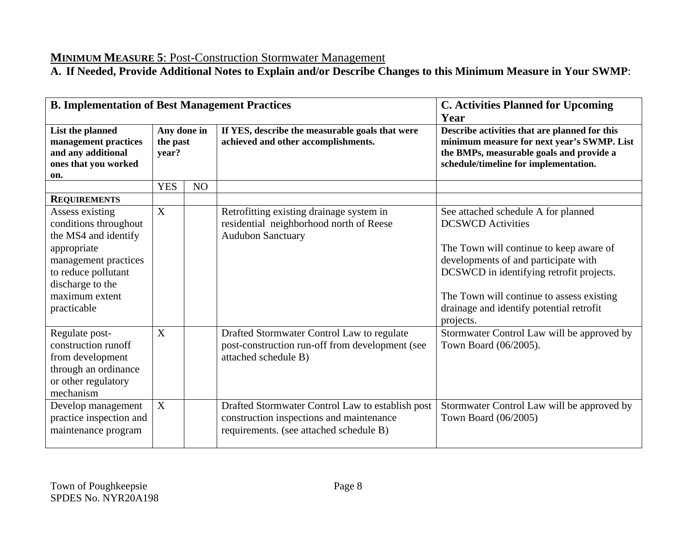# **MINIMUM MEASURE 5**: Post-Construction Stormwater Management

| <b>B. Implementation of Best Management Practices</b>                                                                                                                               |                                  |                | <b>C. Activities Planned for Upcoming</b><br>Year<br>Describe activities that are planned for this<br>minimum measure for next year's SWMP. List<br>the BMPs, measurable goals and provide a<br>schedule/timeline for implementation. |                                                                                                                                                                                                                                                                                                      |
|-------------------------------------------------------------------------------------------------------------------------------------------------------------------------------------|----------------------------------|----------------|---------------------------------------------------------------------------------------------------------------------------------------------------------------------------------------------------------------------------------------|------------------------------------------------------------------------------------------------------------------------------------------------------------------------------------------------------------------------------------------------------------------------------------------------------|
| List the planned<br>management practices<br>and any additional<br>ones that you worked<br>on.                                                                                       | Any done in<br>the past<br>year? |                |                                                                                                                                                                                                                                       | If YES, describe the measurable goals that were<br>achieved and other accomplishments.                                                                                                                                                                                                               |
|                                                                                                                                                                                     | <b>YES</b>                       | N <sub>O</sub> |                                                                                                                                                                                                                                       |                                                                                                                                                                                                                                                                                                      |
| <b>REQUIREMENTS</b>                                                                                                                                                                 |                                  |                |                                                                                                                                                                                                                                       |                                                                                                                                                                                                                                                                                                      |
| Assess existing<br>conditions throughout<br>the MS4 and identify<br>appropriate<br>management practices<br>to reduce pollutant<br>discharge to the<br>maximum extent<br>practicable | X                                |                | Retrofitting existing drainage system in<br>residential neighborhood north of Reese<br><b>Audubon Sanctuary</b>                                                                                                                       | See attached schedule A for planned<br><b>DCSWCD</b> Activities<br>The Town will continue to keep aware of<br>developments of and participate with<br>DCSWCD in identifying retrofit projects.<br>The Town will continue to assess existing<br>drainage and identify potential retrofit<br>projects. |
| Regulate post-<br>construction runoff<br>from development<br>through an ordinance<br>or other regulatory<br>mechanism                                                               | X                                |                | Drafted Stormwater Control Law to regulate<br>post-construction run-off from development (see<br>attached schedule B)                                                                                                                 | Stormwater Control Law will be approved by<br>Town Board (06/2005).                                                                                                                                                                                                                                  |
| Develop management<br>practice inspection and<br>maintenance program                                                                                                                | X                                |                | Drafted Stormwater Control Law to establish post<br>construction inspections and maintenance<br>requirements. (see attached schedule B)                                                                                               | Stormwater Control Law will be approved by<br>Town Board (06/2005)                                                                                                                                                                                                                                   |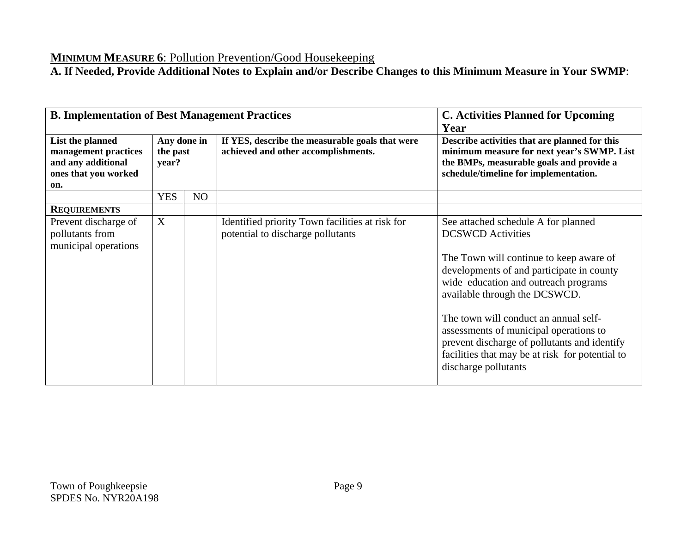## **MINIMUM MEASURE 6**: Pollution Prevention/Good Housekeeping

| <b>B. Implementation of Best Management Practices</b>                                         |                                  |    | <b>C. Activities Planned for Upcoming</b><br>Year                                    |                                                                                                                                                                                                                                                                                                                                                                                                                                                |                                                                                        |                                                                                                                                                                                  |
|-----------------------------------------------------------------------------------------------|----------------------------------|----|--------------------------------------------------------------------------------------|------------------------------------------------------------------------------------------------------------------------------------------------------------------------------------------------------------------------------------------------------------------------------------------------------------------------------------------------------------------------------------------------------------------------------------------------|----------------------------------------------------------------------------------------|----------------------------------------------------------------------------------------------------------------------------------------------------------------------------------|
| List the planned<br>management practices<br>and any additional<br>ones that you worked<br>on. | Any done in<br>the past<br>year? |    |                                                                                      |                                                                                                                                                                                                                                                                                                                                                                                                                                                | If YES, describe the measurable goals that were<br>achieved and other accomplishments. | Describe activities that are planned for this<br>minimum measure for next year's SWMP. List<br>the BMPs, measurable goals and provide a<br>schedule/timeline for implementation. |
|                                                                                               | <b>YES</b>                       | NO |                                                                                      |                                                                                                                                                                                                                                                                                                                                                                                                                                                |                                                                                        |                                                                                                                                                                                  |
| <b>REQUIREMENTS</b>                                                                           |                                  |    |                                                                                      |                                                                                                                                                                                                                                                                                                                                                                                                                                                |                                                                                        |                                                                                                                                                                                  |
| Prevent discharge of<br>pollutants from<br>municipal operations                               | X                                |    | Identified priority Town facilities at risk for<br>potential to discharge pollutants | See attached schedule A for planned<br><b>DCSWCD</b> Activities<br>The Town will continue to keep aware of<br>developments of and participate in county<br>wide education and outreach programs<br>available through the DCSWCD.<br>The town will conduct an annual self-<br>assessments of municipal operations to<br>prevent discharge of pollutants and identify<br>facilities that may be at risk for potential to<br>discharge pollutants |                                                                                        |                                                                                                                                                                                  |